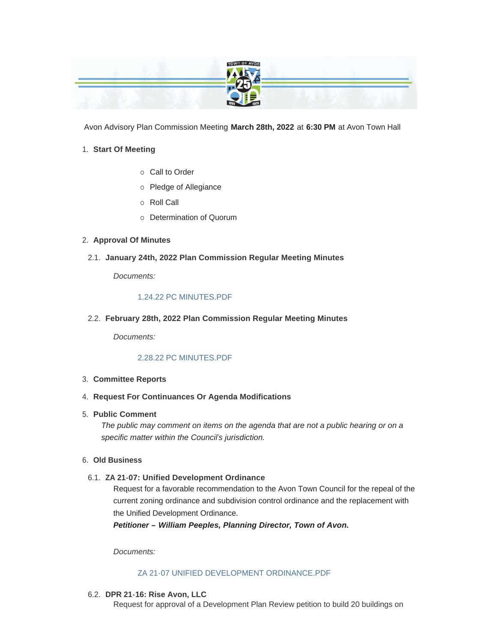

Avon Advisory Plan Commission Meeting **March 28th, 2022** at **6:30 PM** at Avon Town Hall

#### **Start Of Meeting** 1.

- $\circ$  Call to Order
- o Pledge of Allegiance
- o Roll Call
- o Determination of Quorum

# **Approval Of Minutes** 2.

**January 24th, 2022 Plan Commission Regular Meeting Minutes** 2.1.

*Documents:*

# [1.24.22 PC MINUTES.PDF](https://www.avongov.org/AgendaCenter/ViewFile/Item/164?fileID=174)

**February 28th, 2022 Plan Commission Regular Meeting Minutes** 2.2.

*Documents:*

# [2.28.22 PC MINUTES.PDF](https://www.avongov.org/AgendaCenter/ViewFile/Item/165?fileID=177)

#### **Committee Reports** 3.

- **Request For Continuances Or Agenda Modifications** 4.
- **Public Comment** 5.

*The public may comment on items on the agenda that are not a public hearing or on a specific matter within the Council's jurisdiction.*

#### **Old Business** 6.

**ZA 21-07: Unified Development Ordinance**  6.1.

Request for a favorable recommendation to the Avon Town Council for the repeal of the current zoning ordinance and subdivision control ordinance and the replacement with the Unified Development Ordinance.

*Petitioner – William Peeples, Planning Director, Town of Avon.*

*Documents:*

# [ZA 21-07 UNIFIED DEVELOPMENT ORDINANCE.PDF](https://www.avongov.org/AgendaCenter/ViewFile/Item/151?fileID=170)

**DPR 21-16: Rise Avon, LLC** 6.2.

Request for approval of a Development Plan Review petition to build 20 buildings on